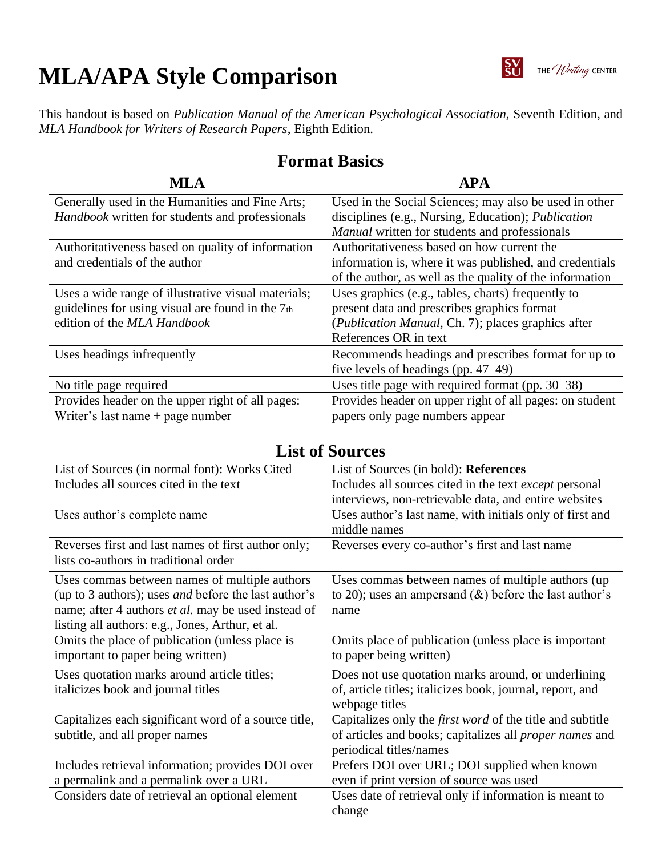

# **MLA/APA Style Comparison**

This handout is based on *Publication Manual of the American Psychological Association,* Seventh Edition, and *MLA Handbook for Writers of Research Papers*, Eighth Edition.

| <b>MLA</b>                                          | <b>APA</b>                                                 |
|-----------------------------------------------------|------------------------------------------------------------|
| Generally used in the Humanities and Fine Arts;     | Used in the Social Sciences; may also be used in other     |
| Handbook written for students and professionals     | disciplines (e.g., Nursing, Education); <i>Publication</i> |
|                                                     | Manual written for students and professionals              |
| Authoritativeness based on quality of information   | Authoritativeness based on how current the                 |
| and credentials of the author                       | information is, where it was published, and credentials    |
|                                                     | of the author, as well as the quality of the information   |
| Uses a wide range of illustrative visual materials; | Uses graphics (e.g., tables, charts) frequently to         |
| guidelines for using visual are found in the 7th    | present data and prescribes graphics format                |
| edition of the MLA Handbook                         | (Publication Manual, Ch. 7); places graphics after         |
|                                                     | References OR in text                                      |
| Uses headings infrequently                          | Recommends headings and prescribes format for up to        |
|                                                     | five levels of headings (pp. $47-49$ )                     |
| No title page required                              | Uses title page with required format (pp. 30–38)           |
| Provides header on the upper right of all pages:    | Provides header on upper right of all pages: on student    |
| Writer's last name $+$ page number                  | papers only page numbers appear                            |

### **Format Basics**

#### **List of Sources**

| List of Sources (in normal font): Works Cited                                                                                                                                                                                  | List of Sources (in bold): References                                                                                                                         |
|--------------------------------------------------------------------------------------------------------------------------------------------------------------------------------------------------------------------------------|---------------------------------------------------------------------------------------------------------------------------------------------------------------|
| Includes all sources cited in the text                                                                                                                                                                                         | Includes all sources cited in the text <i>except</i> personal<br>interviews, non-retrievable data, and entire websites                                        |
| Uses author's complete name                                                                                                                                                                                                    | Uses author's last name, with initials only of first and<br>middle names                                                                                      |
| Reverses first and last names of first author only;<br>lists co-authors in traditional order                                                                                                                                   | Reverses every co-author's first and last name                                                                                                                |
| Uses commas between names of multiple authors<br>(up to 3 authors); uses <i>and</i> before the last author's<br>name; after 4 authors <i>et al.</i> may be used instead of<br>listing all authors: e.g., Jones, Arthur, et al. | Uses commas between names of multiple authors (up)<br>to 20); uses an ampersand $(\&)$ before the last author's<br>name                                       |
| Omits the place of publication (unless place is<br>important to paper being written)                                                                                                                                           | Omits place of publication (unless place is important<br>to paper being written)                                                                              |
| Uses quotation marks around article titles;<br>italicizes book and journal titles                                                                                                                                              | Does not use quotation marks around, or underlining<br>of, article titles; italicizes book, journal, report, and<br>webpage titles                            |
| Capitalizes each significant word of a source title,<br>subtitle, and all proper names                                                                                                                                         | Capitalizes only the <i>first word</i> of the title and subtitle<br>of articles and books; capitalizes all <i>proper names</i> and<br>periodical titles/names |
| Includes retrieval information; provides DOI over<br>a permalink and a permalink over a URL                                                                                                                                    | Prefers DOI over URL; DOI supplied when known<br>even if print version of source was used                                                                     |
| Considers date of retrieval an optional element                                                                                                                                                                                | Uses date of retrieval only if information is meant to<br>change                                                                                              |